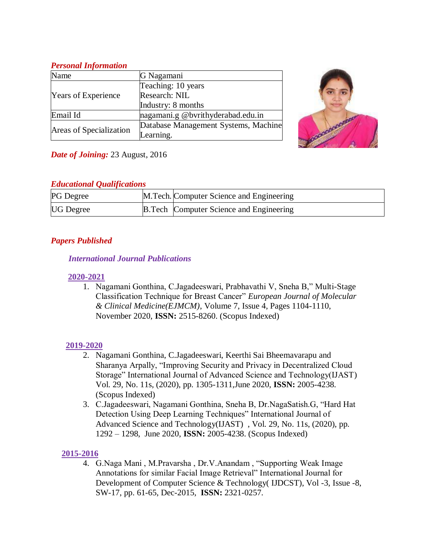### *Personal Information*

| Name                       | G Nagamani                           |
|----------------------------|--------------------------------------|
| <b>Years of Experience</b> | Teaching: 10 years                   |
|                            | Research: NIL                        |
|                            | Industry: 8 months                   |
| Email Id                   | nagamani.g @bvrithyderabad.edu.in    |
| Areas of Specialization    | Database Management Systems, Machine |
|                            | Learning.                            |



# *Date of Joining:* 23 August, 2016

## *Educational Qualifications*

| <b>PG</b> Degree | M. Tech. Computer Science and Engineering      |
|------------------|------------------------------------------------|
| <b>UG</b> Degree | <b>B.Tech Computer Science and Engineering</b> |

# *Papers Published*

## *International Journal Publications*

## **2020-2021**

1. Nagamani Gonthina, C.Jagadeeswari, Prabhavathi V, Sneha B," Multi-Stage Classification Technique for Breast Cancer" *European Journal of Molecular & Clinical Medicine(EJMCM)*, Volume 7, Issue 4, Pages 1104-1110, November 2020, **ISSN:** 2515-8260. (Scopus Indexed)

# **2019-2020**

- 2. Nagamani Gonthina, C.Jagadeeswari, Keerthi Sai Bheemavarapu and Sharanya Arpally, "Improving Security and Privacy in Decentralized Cloud Storage" International Journal of Advanced Science and Technology(IJAST) Vol. 29, No. 11s, (2020), pp. 1305-1311,June 2020, **ISSN:** 2005-4238. (Scopus Indexed)
- 3. C.Jagadeeswari, Nagamani Gonthina, Sneha B, Dr.NagaSatish.G, "Hard Hat Detection Using Deep Learning Techniques" International Journal of Advanced Science and Technology(IJAST) , Vol. 29, No. 11s, (2020), pp. 1292 – 1298, June 2020, **ISSN:** 2005-4238. (Scopus Indexed)

# **2015-2016**

4. G.Naga Mani , M.Pravarsha , Dr.V.Anandam , "Supporting Weak Image Annotations for similar Facial Image Retrieval" International Journal for Development of Computer Science & Technology( IJDCST), Vol -3, Issue -8, SW-17, pp. 61-65, Dec-2015, **ISSN:** 2321-0257.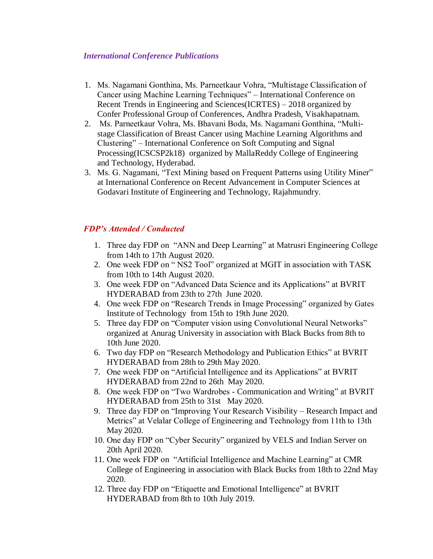#### *International Conference Publications*

- 1. Ms. Nagamani Gonthina, Ms. Parneetkaur Vohra, "Multistage Classification of Cancer using Machine Learning Techniques" – International Conference on Recent Trends in Engineering and Sciences(ICRTES) – 2018 organized by Confer Professional Group of Conferences, Andhra Pradesh, Visakhapatnam.
- 2. Ms. Parneetkaur Vohra, Ms. Bhavani Boda, Ms. Nagamani Gonthina, "Multistage Classification of Breast Cancer using Machine Learning Algorithms and Clustering" – International Conference on Soft Computing and Signal Processing(ICSCSP2k18) organized by MallaReddy College of Engineering and Technology, Hyderabad.
- 3. Ms. G. Nagamani, "Text Mining based on Frequent Patterns using Utility Miner" at International Conference on Recent Advancement in Computer Sciences at Godavari Institute of Engineering and Technology, Rajahmundry.

#### *FDP's Attended / Conducted*

- 1. Three day FDP on "ANN and Deep Learning" at Matrusri Engineering College from 14th to 17th August 2020.
- 2. One week FDP on " NS2 Tool" organized at MGIT in association with TASK from 10th to 14th August 2020.
- 3. One week FDP on "Advanced Data Science and its Applications" at BVRIT HYDERABAD from 23th to 27th June 2020.
- 4. One week FDP on "Research Trends in Image Processing" organized by Gates Institute of Technology from 15th to 19th June 2020.
- 5. Three day FDP on "Computer vision using Convolutional Neural Networks" organized at Anurag University in association with Black Bucks from 8th to 10th June 2020.
- 6. Two day FDP on "Research Methodology and Publication Ethics" at BVRIT HYDERABAD from 28th to 29th May 2020.
- 7. One week FDP on "Artificial Intelligence and its Applications" at BVRIT HYDERABAD from 22nd to 26th May 2020.
- 8. One week FDP on "Two Wardrobes Communication and Writing" at BVRIT HYDERABAD from 25th to 31st May 2020.
- 9. Three day FDP on "Improving Your Research Visibility Research Impact and Metrics" at Velalar College of Engineering and Technology from 11th to 13th May 2020.
- 10. One day FDP on "Cyber Security" organized by VELS and Indian Server on 20th April 2020.
- 11. One week FDP on "Artificial Intelligence and Machine Learning" at CMR College of Engineering in association with Black Bucks from 18th to 22nd May 2020.
- 12. Three day FDP on "Etiquette and Emotional Intelligence" at BVRIT HYDERABAD from 8th to 10th July 2019.